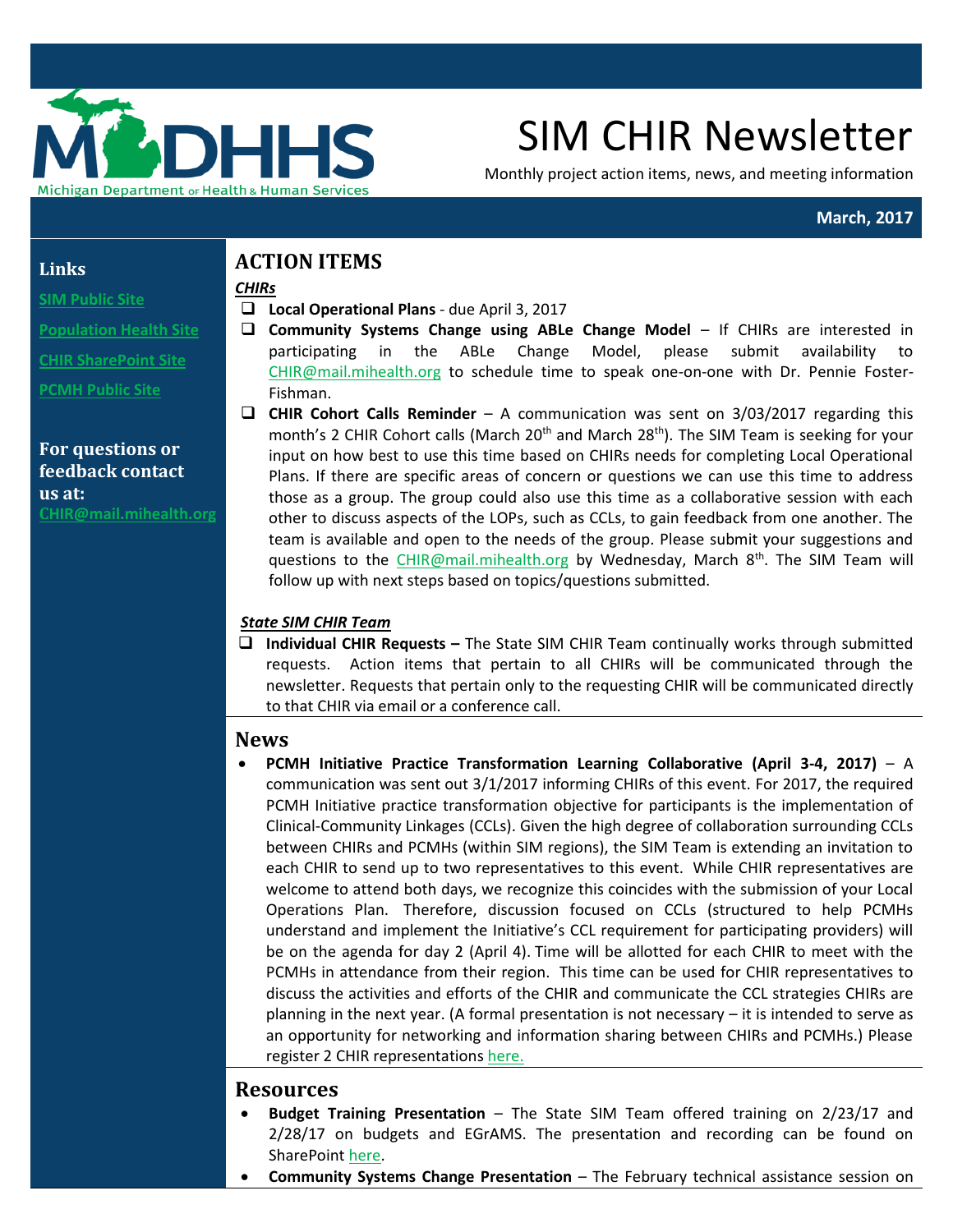

# SIM CHIR Newsletter

Monthly project action items, news, and meeting information

#### **March, 2017**

#### **Links**

## **[SIM Public Site](http://www.michigan.gov/mdhhs/0,5885,7-339-71551_2945_64491_76092---,00.html)**

- 
- **[Population Health Site](http://www.michigan.gov/mdhhs/0,5885,7-339-71551_2945_64491_76092_77453---,00.html)**
- **[CHIR SharePoint Site](https://stateofmichigan.sharepoint.com/teams/dhhs/bic/msacss/SIM/SitePages/CHIR.aspx)**
- **[PCMH Public Site](http://www.michigan.gov/mdhhs/0,5885,7-339-71551_2945_64491_76092_77452---,00.html)**

**For questions or feedback contact us at: C[HIR@mail.mihealth.org](mailto:CHIR@mail.mihealth.org)**

# **ACTION ITEMS**

#### *CHIRs*

- **Local Operational Plans** due April 3, 2017
- **Community Systems Change using ABLe Change Model**  If CHIRs are interested in participating in the ABLe Change Model, please submit availability to [CHIR@mail.mihealth.org](mailto:CHIR@mail.mihealth.org) to schedule time to speak one-on-one with Dr. Pennie Foster-Fishman.
- **CHIR Cohort Calls Reminder** A communication was sent on 3/03/2017 regarding this month's 2 CHIR Cohort calls (March 20<sup>th</sup> and March 28<sup>th</sup>). The SIM Team is seeking for your input on how best to use this time based on CHIRs needs for completing Local Operational Plans. If there are specific areas of concern or questions we can use this time to address those as a group. The group could also use this time as a collaborative session with each other to discuss aspects of the LOPs, such as CCLs, to gain feedback from one another. The team is available and open to the needs of the group. Please submit your suggestions and questions to the [CHIR@mail.mihealth.org](mailto:CHIR@mail.mihealth.org) by Wednesday, March 8<sup>th</sup>. The SIM Team will follow up with next steps based on topics/questions submitted.

#### *State SIM CHIR Team*

 **Individual CHIR Requests –** The State SIM CHIR Team continually works through submitted requests. Action items that pertain to all CHIRs will be communicated through the newsletter. Requests that pertain only to the requesting CHIR will be communicated directly to that CHIR via email or a conference call.

## **News**

 **PCMH Initiative Practice Transformation Learning Collaborative (April 3-4, 2017)** – A communication was sent out 3/1/2017 informing CHIRs of this event. For 2017, the required PCMH Initiative practice transformation objective for participants is the implementation of Clinical-Community Linkages (CCLs). Given the high degree of collaboration surrounding CCLs between CHIRs and PCMHs (within SIM regions), the SIM Team is extending an invitation to each CHIR to send up to two representatives to this event. While CHIR representatives are welcome to attend both days, we recognize this coincides with the submission of your Local Operations Plan. Therefore, discussion focused on CCLs (structured to help PCMHs understand and implement the Initiative's CCL requirement for participating providers) will be on the agenda for day 2 (April 4). Time will be allotted for each CHIR to meet with the PCMHs in attendance from their region. This time can be used for CHIR representatives to discuss the activities and efforts of the CHIR and communicate the CCL strategies CHIRs are planning in the next year. (A formal presentation is not necessary – it is intended to serve as an opportunity for networking and information sharing between CHIRs and PCMHs.) Please register 2 CHIR representations [here.](https://umichumhs.ut1.qualtrics.com/jfe/form/SV_8evZLq5GXebz7QV)

## **Resources**

- **Budget Training Presentation** The State SIM Team offered training on 2/23/17 and 2/28/17 on budgets and EGrAMS. The presentation and recording can be found on SharePoint [here.](https://stateofmichigan.sharepoint.com/teams/dhhs/bic/msacss/SIM/All%20CHIRs/Resources/Presentations/2017.02.23_28%20Budget%20Presentation.pdf)
- **Community Systems Change Presentation** The February technical assistance session on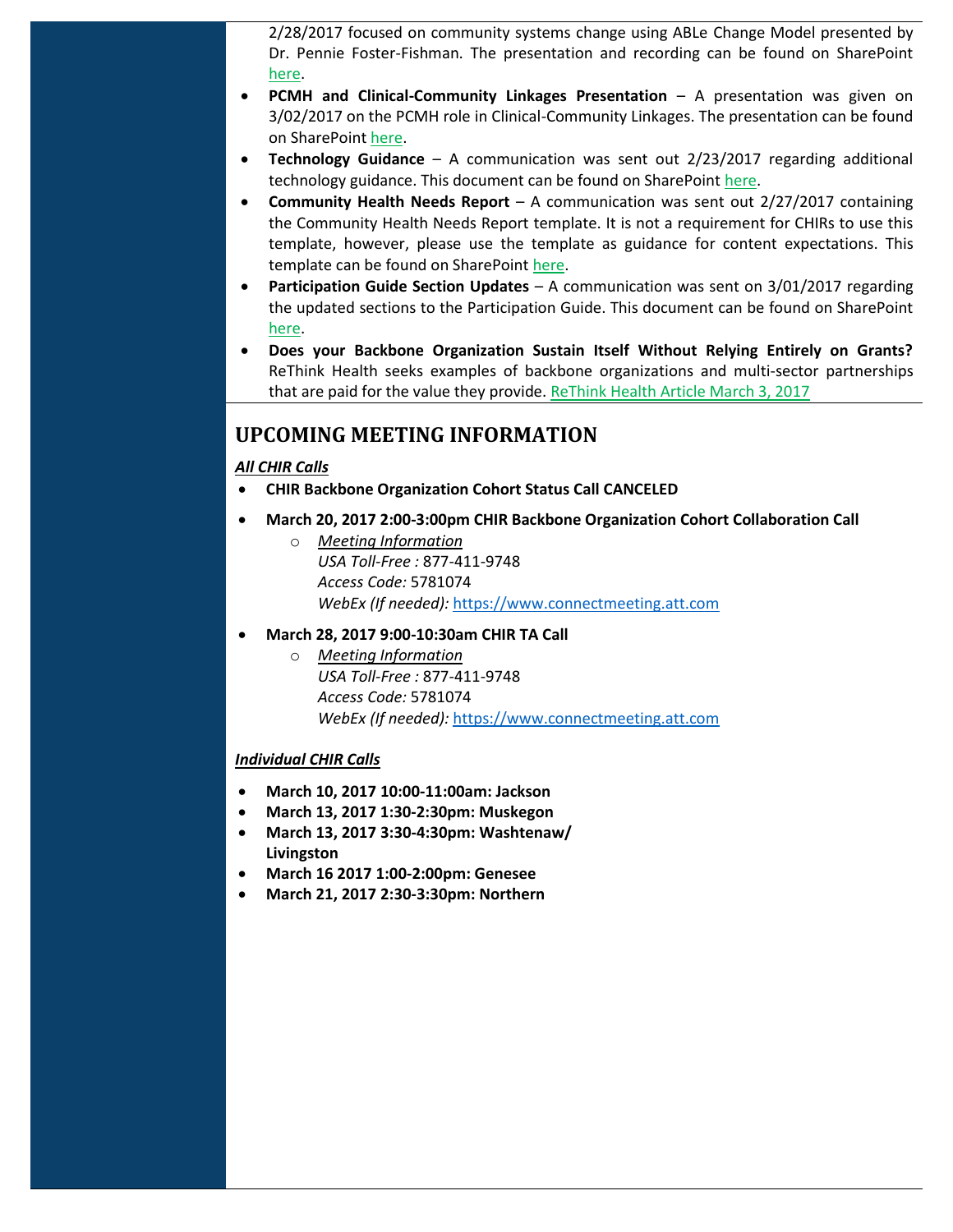2/28/2017 focused on community systems change using ABLe Change Model presented by Dr. Pennie Foster-Fishman. The presentation and recording can be found on SharePoint [here.](https://stateofmichigan.sharepoint.com/teams/dhhs/bic/msacss/SIM/All%20CHIRs/Resources/Presentations/2017.02.28%20Community%20Systems%20Change%20TA%20Presentation.pdf)

- **PCMH and Clinical-Community Linkages Presentation** A presentation was given on 3/02/2017 on the PCMH role in Clinical-Community Linkages. The presentation can be found on SharePoint [here.](https://stateofmichigan.sharepoint.com/teams/dhhs/bic/msacss/SIM/All%20CHIRs/Resources/Presentations/2017.03.02%20SIM%20PCMH%20Initiative%20CCL%20for%20CHIRs.pdf)
- **Technology Guidance** A communication was sent out 2/23/2017 regarding additional technology guidance. This document can be found on SharePoin[t here.](https://stateofmichigan.sharepoint.com/teams/dhhs/bic/msacss/SIM/_layouts/15/WopiFrame.aspx?sourcedoc=%7B452E1F54-1B70-46B4-8970-2E992D75DECC%7D&file=SIM%20CHIR%20Technology%20Guidance%2002.21.17.docx&action=default)
- **Community Health Needs Report** A communication was sent out 2/27/2017 containing the Community Health Needs Report template. It is not a requirement for CHIRs to use this template, however, please use the template as guidance for content expectations. This template can be found on SharePoint [here.](https://stateofmichigan.sharepoint.com/teams/dhhs/bic/msacss/SIM/_layouts/15/WopiFrame.aspx?sourcedoc=%7B04B2F6BA-0C8C-46D2-B8CE-D9E457C1B89F%7D&file=Community%20Health%20Needs%20Report%20Template.docx&action=default)
- **Participation Guide Section Updates**  A communication was sent on 3/01/2017 regarding the updated sections to the Participation Guide. This document can be found on SharePoint [here.](https://stateofmichigan.sharepoint.com/teams/dhhs/bic/msacss/SIM/All%20CHIRs/CHIR%20Participiation%20Guide%20Materials/CHIR%20Participation%20Guide%20Section%20Updates.pdf)
- **Does your Backbone Organization Sustain Itself Without Relying Entirely on Grants?** ReThink Health seeks examples of backbone organizations and multi-sector partnerships that are paid for the value they provide[. ReThink Health Article March 3, 2017](https://www.rethinkhealth.org/the-rethinkers-blog/does-your-backbone-organization-sustain-itself-without-relying-entirely-on-grants/)

## **UPCOMING MEETING INFORMATION**

#### *All CHIR Calls*

- **CHIR Backbone Organization Cohort Status Call CANCELED**
- **March 20, 2017 2:00-3:00pm CHIR Backbone Organization Cohort Collaboration Call**
	- o *Meeting Information USA Toll-Free :* 877-411-9748 *Access Code:* 5781074 *WebEx (If needed):* [https://www.connectmeeting.att.com](https://www.connectmeeting.att.com/)
- **March 28, 2017 9:00-10:30am CHIR TA Call**
	- o *Meeting Information USA Toll-Free :* 877-411-9748 *Access Code:* 5781074 *WebEx (If needed):* [https://www.connectmeeting.att.com](https://www.connectmeeting.att.com/)

#### *Individual CHIR Calls*

- **March 10, 2017 10:00-11:00am: Jackson**
- **March 13, 2017 1:30-2:30pm: Muskegon**
- **March 13, 2017 3:30-4:30pm: Washtenaw/ Livingston**
- **March 16 2017 1:00-2:00pm: Genesee**
- **March 21, 2017 2:30-3:30pm: Northern**